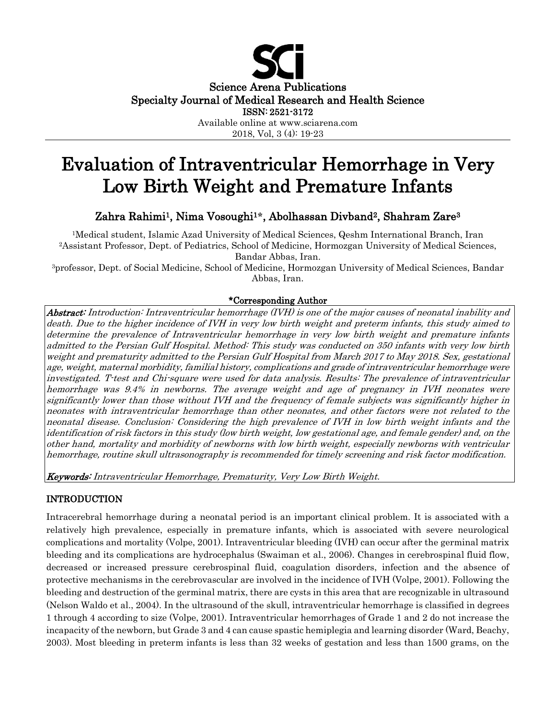

# Evaluation of Intraventricular Hemorrhage in Very Low Birth Weight and Premature Infants

Zahra Rahimi1, Nima Vosoughi<sup>1</sup>**\***, Abolhassan Divband2, Shahram Zare<sup>3</sup>

<sup>1</sup>Medical student, Islamic Azad University of Medical Sciences, Qeshm International Branch, Iran <sup>2</sup>Assistant Professor, Dept. of Pediatrics, School of Medicine, Hormozgan University of Medical Sciences, Bandar Abbas, Iran.

<sup>3</sup>professor, Dept. of Social Medicine, School of Medicine, Hormozgan University of Medical Sciences, Bandar Abbas, Iran.

## \*Corresponding Author

Abstract: Introduction: Intraventricular hemorrhage (IVH) is one of the major causes of neonatal inability and death. Due to the higher incidence of IVH in very low birth weight and preterm infants, this study aimed to determine the prevalence of Intraventricular hemorrhage in very low birth weight and premature infants admitted to the Persian Gulf Hospital. Method: This study was conducted on 350 infants with very low birth weight and prematurity admitted to the Persian Gulf Hospital from March 2017 to May 2018. Sex, gestational age, weight, maternal morbidity, familial history, complications and grade of intraventricular hemorrhage were investigated. T-test and Chi-square were used for data analysis. Results: The prevalence of intraventricular hemorrhage was 9.4% in newborns. The average weight and age of pregnancy in IVH neonates were significantly lower than those without IVH and the frequency of female subjects was significantly higher in neonates with intraventricular hemorrhage than other neonates, and other factors were not related to the neonatal disease. Conclusion: Considering the high prevalence of IVH in low birth weight infants and the identification of risk factors in this study (low birth weight, low gestational age, and female gender) and, on the other hand, mortality and morbidity of newborns with low birth weight, especially newborns with ventricular hemorrhage, routine skull ultrasonography is recommended for timely screening and risk factor modification.

Keywords: Intraventricular Hemorrhage, Prematurity, Very Low Birth Weight.

## INTRODUCTION

Intracerebral hemorrhage during a neonatal period is an important clinical problem. It is associated with a relatively high prevalence, especially in premature infants, which is associated with severe neurological complications and mortality (Volpe, 2001). Intraventricular bleeding (IVH) can occur after the germinal matrix bleeding and its complications are hydrocephalus (Swaiman et al., 2006). Changes in cerebrospinal fluid flow, decreased or increased pressure cerebrospinal fluid, coagulation disorders, infection and the absence of protective mechanisms in the cerebrovascular are involved in the incidence of IVH (Volpe, 2001). Following the bleeding and destruction of the germinal matrix, there are cysts in this area that are recognizable in ultrasound (Nelson Waldo et al., 2004). In the ultrasound of the skull, intraventricular hemorrhage is classified in degrees 1 through 4 according to size (Volpe, 2001). Intraventricular hemorrhages of Grade 1 and 2 do not increase the incapacity of the newborn, but Grade 3 and 4 can cause spastic hemiplegia and learning disorder (Ward, Beachy, 2003). Most bleeding in preterm infants is less than 32 weeks of gestation and less than 1500 grams, on the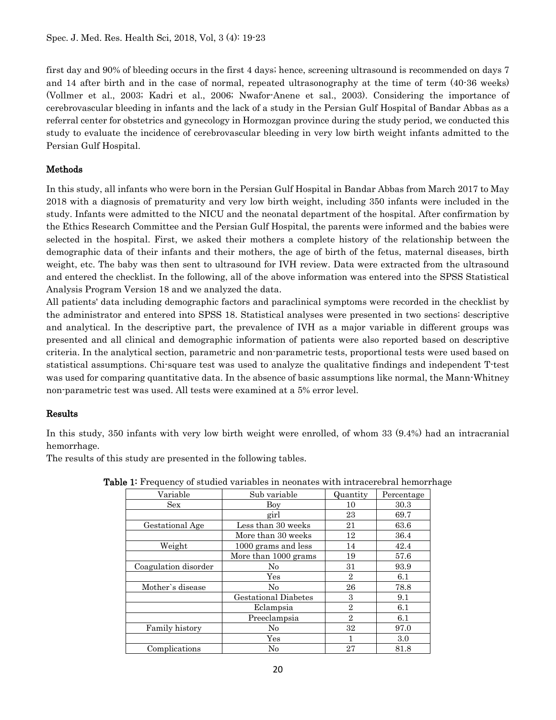first day and 90% of bleeding occurs in the first 4 days; hence, screening ultrasound is recommended on days 7 and 14 after birth and in the case of normal, repeated ultrasonography at the time of term (40-36 weeks) (Vollmer et al., 2003; Kadri et al., 2006; Nwafor-Anene et sal., 2003). Considering the importance of cerebrovascular bleeding in infants and the lack of a study in the Persian Gulf Hospital of Bandar Abbas as a referral center for obstetrics and gynecology in Hormozgan province during the study period, we conducted this study to evaluate the incidence of cerebrovascular bleeding in very low birth weight infants admitted to the Persian Gulf Hospital.

## Methods

In this study, all infants who were born in the Persian Gulf Hospital in Bandar Abbas from March 2017 to May 2018 with a diagnosis of prematurity and very low birth weight, including 350 infants were included in the study. Infants were admitted to the NICU and the neonatal department of the hospital. After confirmation by the Ethics Research Committee and the Persian Gulf Hospital, the parents were informed and the babies were selected in the hospital. First, we asked their mothers a complete history of the relationship between the demographic data of their infants and their mothers, the age of birth of the fetus, maternal diseases, birth weight, etc. The baby was then sent to ultrasound for IVH review. Data were extracted from the ultrasound and entered the checklist. In the following, all of the above information was entered into the SPSS Statistical Analysis Program Version 18 and we analyzed the data.

All patients' data including demographic factors and paraclinical symptoms were recorded in the checklist by the administrator and entered into SPSS 18. Statistical analyses were presented in two sections: descriptive and analytical. In the descriptive part, the prevalence of IVH as a major variable in different groups was presented and all clinical and demographic information of patients were also reported based on descriptive criteria. In the analytical section, parametric and non-parametric tests, proportional tests were used based on statistical assumptions. Chi-square test was used to analyze the qualitative findings and independent T-test was used for comparing quantitative data. In the absence of basic assumptions like normal, the Mann-Whitney non-parametric test was used. All tests were examined at a 5% error level.

## Results

In this study, 350 infants with very low birth weight were enrolled, of whom 33 (9.4%) had an intracranial hemorrhage.

The results of this study are presented in the following tables.

| Variable             | Sub variable                | Quantity       | Percentage |  |
|----------------------|-----------------------------|----------------|------------|--|
| <b>Sex</b>           | Boy                         | 10             | 30.3       |  |
|                      | girl                        | 23             | 69.7       |  |
| Gestational Age      | Less than 30 weeks<br>21    |                | 63.6       |  |
|                      | More than 30 weeks          | 12             | 36.4       |  |
| Weight               | 1000 grams and less         | 14             | 42.4       |  |
|                      | More than 1000 grams        | 19             | 57.6       |  |
| Coagulation disorder | N <sub>0</sub>              | 31             | 93.9       |  |
|                      | $\operatorname{Yes}$        | $\overline{2}$ | 6.1        |  |
| Mother's disease     | $\rm No$                    | 26             | 78.8       |  |
|                      | <b>Gestational Diabetes</b> | 3              | 9.1        |  |
|                      | Eclampsia                   | $\overline{2}$ | 6.1        |  |
|                      | Preeclampsia                | $\mathbf{2}$   | 6.1        |  |
| Family history       | $\rm No$                    | 32             | 97.0       |  |
|                      | Yes                         |                | 3.0        |  |
| Complications        | $\rm No$                    | 27             | 81.8       |  |

**Table 1:** Frequency of studied variables in neonates with intracerebral hemorrhage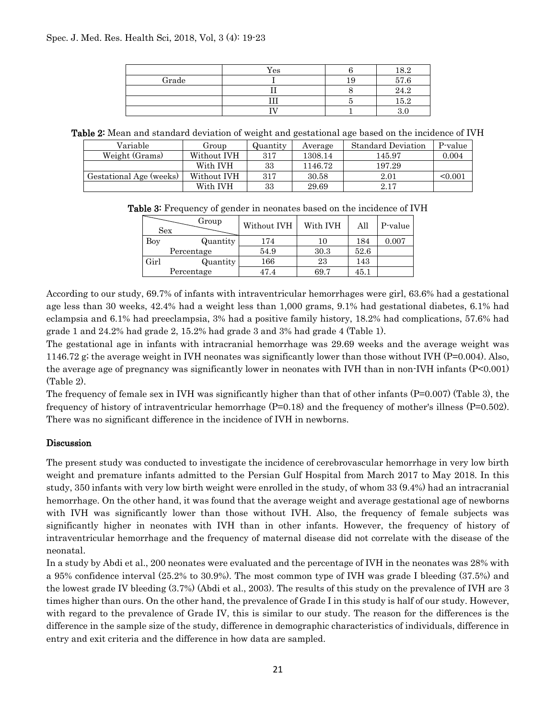|       | Yes | 189<br>10.4 |
|-------|-----|-------------|
| Grade |     | 57.6        |
|       |     | $24.2\,$    |
|       |     | 15.2        |
|       |     | U.          |

Table 2: Mean and standard deviation of weight and gestational age based on the incidence of IVH

| Variable                | Group       | Quantity | Average | <b>Standard Deviation</b> | P-value |
|-------------------------|-------------|----------|---------|---------------------------|---------|
| Weight (Grams)          | Without IVH | 317      | 1308.14 | 145.97                    | 0.004   |
|                         | With IVH    | 33       | 1146.72 | 197.29                    |         |
| Gestational Age (weeks) | Without IVH | 317      | 30.58   | 2.01                      | < 0.001 |
|                         | With IVH    | 33       | 29.69   | 2.17                      |         |

Table 3: Frequency of gender in neonates based on the incidence of IVH

| <b>Sex</b> | Group      | Without IVH | With IVH | All  | P-value |
|------------|------------|-------------|----------|------|---------|
| Boy        | Quantity   | 174         |          | 184  | 0.007   |
|            | Percentage | 54.9        | 30.3     | 52.6 |         |
| Girl       | Quantity   | 166         | 23       | 143  |         |
|            | Percentage | 47.4        | 69.7     | 45.1 |         |

According to our study, 69.7% of infants with intraventricular hemorrhages were girl, 63.6% had a gestational age less than 30 weeks, 42.4% had a weight less than 1,000 grams, 9.1% had gestational diabetes, 6.1% had eclampsia and 6.1% had preeclampsia, 3% had a positive family history, 18.2% had complications, 57.6% had grade 1 and 24.2% had grade 2, 15.2% had grade 3 and 3% had grade 4 (Table 1).

The gestational age in infants with intracranial hemorrhage was 29.69 weeks and the average weight was 1146.72 g; the average weight in IVH neonates was significantly lower than those without IVH (P=0.004). Also, the average age of pregnancy was significantly lower in neonates with IVH than in non-IVH infants (P<0.001) (Table 2).

The frequency of female sex in IVH was significantly higher than that of other infants  $(P=0.007)$  (Table 3), the frequency of history of intraventricular hemorrhage  $(P=0.18)$  and the frequency of mother's illness  $(P=0.502)$ . There was no significant difference in the incidence of IVH in newborns.

## Discussion

The present study was conducted to investigate the incidence of cerebrovascular hemorrhage in very low birth weight and premature infants admitted to the Persian Gulf Hospital from March 2017 to May 2018. In this study, 350 infants with very low birth weight were enrolled in the study, of whom 33 (9.4%) had an intracranial hemorrhage. On the other hand, it was found that the average weight and average gestational age of newborns with IVH was significantly lower than those without IVH. Also, the frequency of female subjects was significantly higher in neonates with IVH than in other infants. However, the frequency of history of intraventricular hemorrhage and the frequency of maternal disease did not correlate with the disease of the neonatal.

In a study by Abdi et al., 200 neonates were evaluated and the percentage of IVH in the neonates was 28% with a 95% confidence interval (25.2% to 30.9%). The most common type of IVH was grade I bleeding (37.5%) and the lowest grade IV bleeding (3.7%) (Abdi et al., 2003). The results of this study on the prevalence of IVH are 3 times higher than ours. On the other hand, the prevalence of Grade I in this study is half of our study. However, with regard to the prevalence of Grade IV, this is similar to our study. The reason for the differences is the difference in the sample size of the study, difference in demographic characteristics of individuals, difference in entry and exit criteria and the difference in how data are sampled.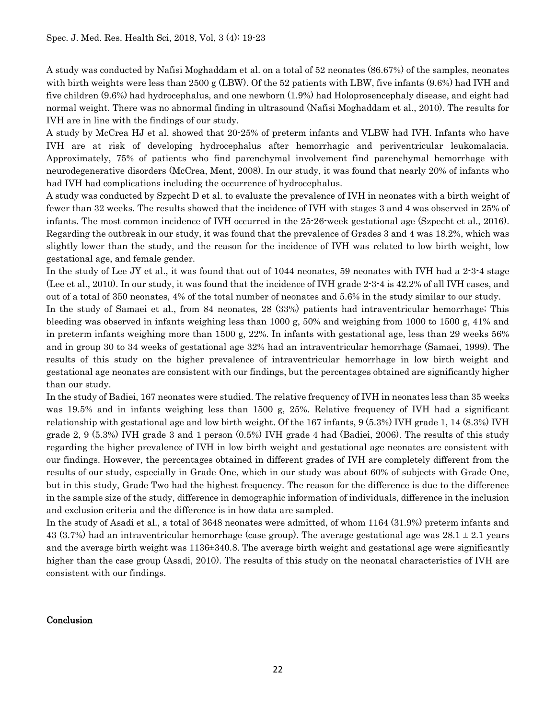A study was conducted by Nafisi Moghaddam et al. on a total of 52 neonates (86.67%) of the samples, neonates with birth weights were less than 2500 g (LBW). Of the 52 patients with LBW, five infants (9.6%) had IVH and five children (9.6%) had hydrocephalus, and one newborn (1.9%) had Holoprosencephaly disease, and eight had normal weight. There was no abnormal finding in ultrasound (Nafisi Moghaddam et al., 2010). The results for IVH are in line with the findings of our study.

A study by McCrea HJ et al. showed that 20-25% of preterm infants and VLBW had IVH. Infants who have IVH are at risk of developing hydrocephalus after hemorrhagic and periventricular leukomalacia. Approximately, 75% of patients who find parenchymal involvement find parenchymal hemorrhage with neurodegenerative disorders (McCrea, Ment, 2008). In our study, it was found that nearly 20% of infants who had IVH had complications including the occurrence of hydrocephalus.

A study was conducted by Szpecht D et al. to evaluate the prevalence of IVH in neonates with a birth weight of fewer than 32 weeks. The results showed that the incidence of IVH with stages 3 and 4 was observed in 25% of infants. The most common incidence of IVH occurred in the 25-26-week gestational age (Szpecht et al., 2016). Regarding the outbreak in our study, it was found that the prevalence of Grades 3 and 4 was 18.2%, which was slightly lower than the study, and the reason for the incidence of IVH was related to low birth weight, low gestational age, and female gender.

In the study of Lee JY et al., it was found that out of 1044 neonates, 59 neonates with IVH had a 2-3-4 stage (Lee et al., 2010). In our study, it was found that the incidence of IVH grade 2-3-4 is 42.2% of all IVH cases, and out of a total of 350 neonates, 4% of the total number of neonates and 5.6% in the study similar to our study.

In the study of Samaei et al., from 84 neonates, 28 (33%) patients had intraventricular hemorrhage; This bleeding was observed in infants weighing less than 1000 g, 50% and weighing from 1000 to 1500 g, 41% and in preterm infants weighing more than 1500 g, 22%. In infants with gestational age, less than 29 weeks 56% and in group 30 to 34 weeks of gestational age 32% had an intraventricular hemorrhage (Samaei, 1999). The results of this study on the higher prevalence of intraventricular hemorrhage in low birth weight and gestational age neonates are consistent with our findings, but the percentages obtained are significantly higher than our study.

In the study of Badiei, 167 neonates were studied. The relative frequency of IVH in neonates less than 35 weeks was 19.5% and in infants weighing less than 1500 g, 25%. Relative frequency of IVH had a significant relationship with gestational age and low birth weight. Of the 167 infants, 9 (5.3%) IVH grade 1, 14 (8.3%) IVH grade 2, 9 (5.3%) IVH grade 3 and 1 person (0.5%) IVH grade 4 had (Badiei, 2006). The results of this study regarding the higher prevalence of IVH in low birth weight and gestational age neonates are consistent with our findings. However, the percentages obtained in different grades of IVH are completely different from the results of our study, especially in Grade One, which in our study was about 60% of subjects with Grade One, but in this study, Grade Two had the highest frequency. The reason for the difference is due to the difference in the sample size of the study, difference in demographic information of individuals, difference in the inclusion and exclusion criteria and the difference is in how data are sampled.

In the study of Asadi et al., a total of 3648 neonates were admitted, of whom 1164 (31.9%) preterm infants and 43 (3.7%) had an intraventricular hemorrhage (case group). The average gestational age was  $28.1 \pm 2.1$  years and the average birth weight was 1136±340.8. The average birth weight and gestational age were significantly higher than the case group (Asadi, 2010). The results of this study on the neonatal characteristics of IVH are consistent with our findings.

#### Conclusion